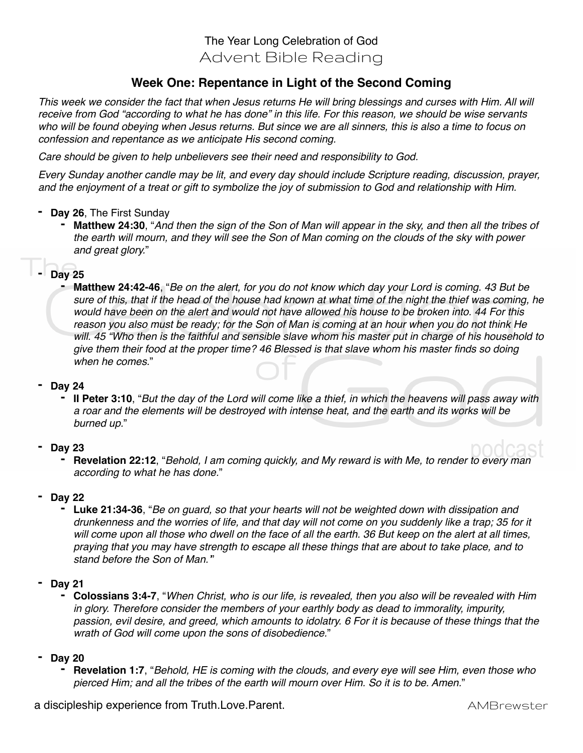# The Year Long Celebration of God Advent Bible Reading

## **Week One: Repentance in Light of the Second Coming**

*This week we consider the fact that when Jesus returns He will bring blessings and curses with Him. All will receive from God "according to what he has done" in this life. For this reason, we should be wise servants who will be found obeying when Jesus returns. But since we are all sinners, this is also a time to focus on confession and repentance as we anticipate His second coming.* 

*Care should be given to help unbelievers see their need and responsibility to God.* 

*Every Sunday another candle may be lit, and every day should include Scripture reading, discussion, prayer, and the enjoyment of a treat or gift to symbolize the joy of submission to God and relationship with Him.*

- **- Day 26**, The First Sunday
	- **- Matthew 24:30**, "*And then the sign of the Son of Man will appear in the sky, and then all the tribes of the earth will mourn, and they will see the Son of Man coming on the clouds of the sky with power and great glory.*"

## **- Day 25**

**- Matthew 24:42-46**, "*Be on the alert, for you do not know which day your Lord is coming. 43 But be sure of this, that if the head of the house had known at what time of the night the thief was coming, he would have been on the alert and would not have allowed his house to be broken into. 44 For this reason you also must be ready; for the Son of Man is coming at an hour when you do not think He will. 45 "Who then is the faithful and sensible slave whom his master put in charge of his household to give them their food at the proper time? 46 Blessed is that slave whom his master finds so doing when he comes.*"

### **- Day 24**

**- II Peter 3:10**, "*But the day of the Lord will come like a thief, in which the heavens will pass away with a roar and the elements will be destroyed with intense heat, and the earth and its works will be burned up.*"

### **- Day 23**

**- Revelation 22:12**, "*Behold, I am coming quickly, and My reward is with Me, to render to every man according to what he has done.*"

### **- Day 22**

**- Luke 21:34-36**, "*Be on guard, so that your hearts will not be weighted down with dissipation and drunkenness and the worries of life, and that day will not come on you suddenly like a trap; 35 for it will come upon all those who dwell on the face of all the earth. 36 But keep on the alert at all times, praying that you may have strength to escape all these things that are about to take place, and to stand before the Son of Man.'*"

#### **- Day 21**

**- Colossians 3:4-7**, "*When Christ, who is our life, is revealed, then you also will be revealed with Him in glory. Therefore consider the members of your earthly body as dead to immorality, impurity, passion, evil desire, and greed, which amounts to idolatry. 6 For it is because of these things that the wrath of God will come upon the sons of disobedience.*"

### **- Day 20**

**- Revelation 1:7**, "*Behold, HE is coming with the clouds, and every eye will see Him, even those who pierced Him; and all the tribes of the earth will mourn over Him. So it is to be. Amen.*"

a discipleship experience from Truth.Love.Parent. **AMBR** example a discipleship experience from Truth.Love.Parent.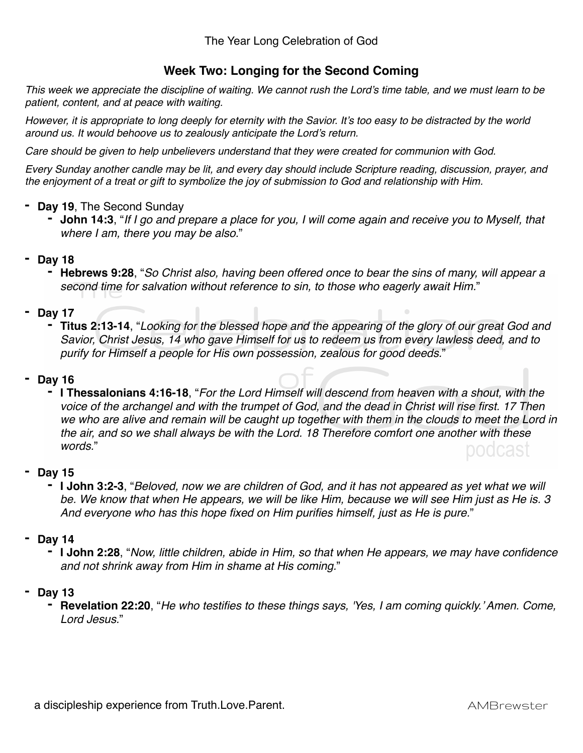## **Week Two: Longing for the Second Coming**

*This week we appreciate the discipline of waiting. We cannot rush the Lord's time table, and we must learn to be patient, content, and at peace with waiting.* 

*However, it is appropriate to long deeply for eternity with the Savior. It's too easy to be distracted by the world around us. It would behoove us to zealously anticipate the Lord's return.*

*Care should be given to help unbelievers understand that they were created for communion with God.*

*Every Sunday another candle may be lit, and every day should include Scripture reading, discussion, prayer, and the enjoyment of a treat or gift to symbolize the joy of submission to God and relationship with Him.*

## **- Day 19**, The Second Sunday

**- John 14:3**, "*If I go and prepare a place for you, I will come again and receive you to Myself, that where I am, there you may be also.*"

## **- Day 18**

**- Hebrews 9:28**, "*So Christ also, having been offered once to bear the sins of many, will appear a second time for salvation without reference to sin, to those who eagerly await Him.*"

### **- Day 17**

**- Titus 2:13-14**, "*Looking for the blessed hope and the appearing of the glory of our great God and Savior, Christ Jesus, 14 who gave Himself for us to redeem us from every lawless deed, and to purify for Himself a people for His own possession, zealous for good deeds.*"

## **- Day 16**

**- I Thessalonians 4:16-18**, "*For the Lord Himself will descend from heaven with a shout, with the voice of the archangel and with the trumpet of God, and the dead in Christ will rise first. 17 Then*  we who are alive and remain will be caught up together with them in the clouds to meet the Lord in *the air, and so we shall always be with the Lord. 18 Therefore comfort one another with these words.*" podcast

### **- Day 15**

**- I John 3:2-3**, "*Beloved, now we are children of God, and it has not appeared as yet what we will be. We know that when He appears, we will be like Him, because we will see Him just as He is. 3 And everyone who has this hope fixed on Him purifies himself, just as He is pure.*"

### **- Day 14**

**- I John 2:28**, "*Now, little children, abide in Him, so that when He appears, we may have confidence and not shrink away from Him in shame at His coming.*"

### **- Day 13**

**- Revelation 22:20**, "*He who testifies to these things says, 'Yes, I am coming quickly.' Amen. Come, Lord Jesus.*"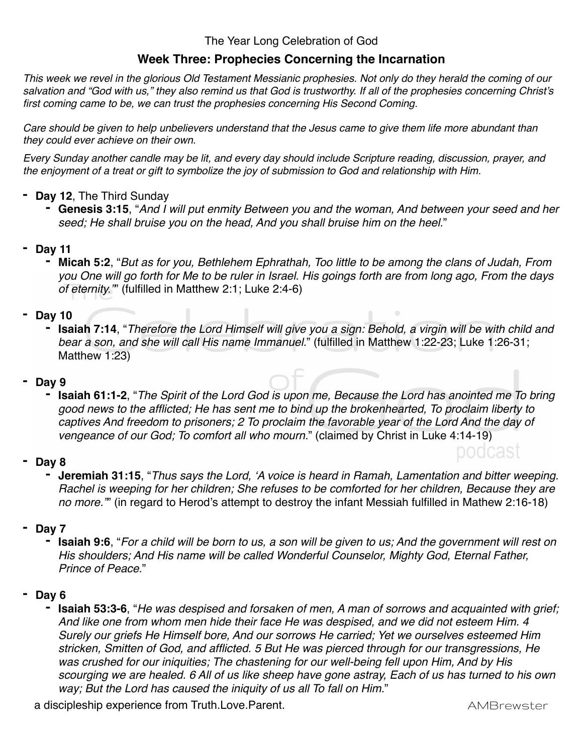The Year Long Celebration of God

## **Week Three: Prophecies Concerning the Incarnation**

*This week we revel in the glorious Old Testament Messianic prophesies. Not only do they herald the coming of our salvation and "God with us," they also remind us that God is trustworthy. If all of the prophesies concerning Christ's first coming came to be, we can trust the prophesies concerning His Second Coming.*

*Care should be given to help unbelievers understand that the Jesus came to give them life more abundant than they could ever achieve on their own.*

*Every Sunday another candle may be lit, and every day should include Scripture reading, discussion, prayer, and the enjoyment of a treat or gift to symbolize the joy of submission to God and relationship with Him.*

- **- Day 12**, The Third Sunday
	- **- Genesis 3:15**, "*And I will put enmity Between you and the woman, And between your seed and her seed; He shall bruise you on the head, And you shall bruise him on the heel.*"
- **- Day 11**
	- **- Micah 5:2**, "*But as for you, Bethlehem Ephrathah, Too little to be among the clans of Judah, From you One will go forth for Me to be ruler in Israel. His goings forth are from long ago, From the days of eternity."*" (fulfilled in Matthew 2:1; Luke 2:4-6)
- **- Day 10**
	- **- Isaiah 7:14**, "*Therefore the Lord Himself will give you a sign: Behold, a virgin will be with child and bear a son, and she will call His name Immanuel.*" (fulfilled in Matthew 1:22-23; Luke 1:26-31; Matthew 1:23)
- **- Day 9** 
	- **- Isaiah 61:1-2**, "*The Spirit of the Lord God is upon me, Because the Lord has anointed me To bring good news to the afflicted; He has sent me to bind up the brokenhearted, To proclaim liberty to captives And freedom to prisoners; 2 To proclaim the favorable year of the Lord And the day of vengeance of our God; To comfort all who mourn.*" (claimed by Christ in Luke 4:14-19)
- **- Day 8**
	- **- Jeremiah 31:15**, "*Thus says the Lord, 'A voice is heard in Ramah, Lamentation and bitter weeping. Rachel is weeping for her children; She refuses to be comforted for her children, Because they are no more."*" (in regard to Herod's attempt to destroy the infant Messiah fulfilled in Mathew 2:16-18)
- **- Day 7** 
	- **- Isaiah 9:6**, "*For a child will be born to us, a son will be given to us; And the government will rest on His shoulders; And His name will be called Wonderful Counselor, Mighty God, Eternal Father, Prince of Peace.*"
- **- Day 6**
	- **- Isaiah 53:3-6**, "*He was despised and forsaken of men, A man of sorrows and acquainted with grief; And like one from whom men hide their face He was despised, and we did not esteem Him. 4 Surely our griefs He Himself bore, And our sorrows He carried; Yet we ourselves esteemed Him stricken, Smitten of God, and afflicted. 5 But He was pierced through for our transgressions, He was crushed for our iniquities; The chastening for our well-being fell upon Him, And by His scourging we are healed. 6 All of us like sheep have gone astray, Each of us has turned to his own way; But the Lord has caused the iniquity of us all To fall on Him.*"

a discipleship experience from Truth.Love.Parent. **AMBR** example a discipleship experience from Truth.Love.Parent.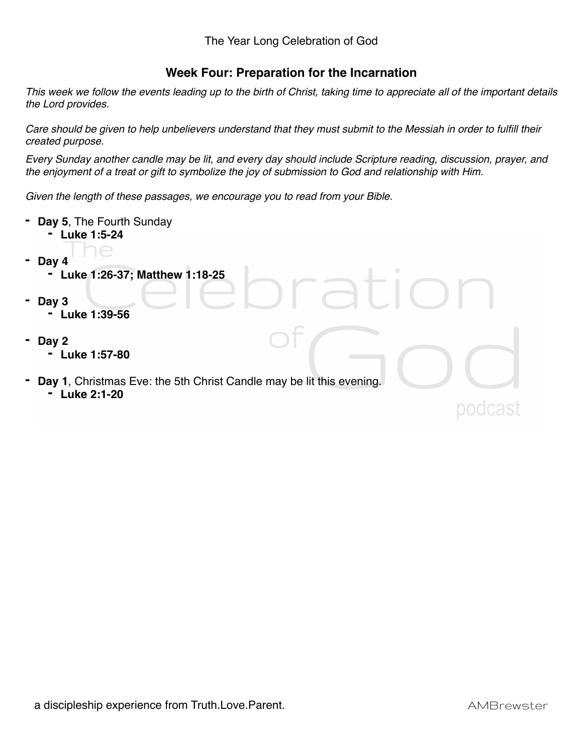## **Week Four: Preparation for the Incarnation**

*This week we follow the events leading up to the birth of Christ, taking time to appreciate all of the important details the Lord provides.*

*Care should be given to help unbelievers understand that they must submit to the Messiah in order to fulfill their created purpose.*

*Every Sunday another candle may be lit, and every day should include Scripture reading, discussion, prayer, and the enjoyment of a treat or gift to symbolize the joy of submission to God and relationship with Him.*

*Given the length of these passages, we encourage you to read from your Bible.*

|   | Day 5, The Fourth Sunday<br>Luke 1:5-24                              |
|---|----------------------------------------------------------------------|
|   | JE                                                                   |
| Ξ | Day 4                                                                |
|   | Luke 1:26-37; Matthew 1:18-25<br>٠                                   |
|   |                                                                      |
| ٠ | Day 3                                                                |
|   | Luke 1:39-56<br>٠                                                    |
|   |                                                                      |
|   |                                                                      |
| ٠ | Day 2                                                                |
|   | Luke 1:57-80                                                         |
|   |                                                                      |
| ٠ | Day 1, Christmas Eve: the 5th Christ Candle may be lit this evening. |
|   | <b>Luke 2:1-20</b><br>$\blacksquare$                                 |
|   |                                                                      |
|   |                                                                      |
|   |                                                                      |